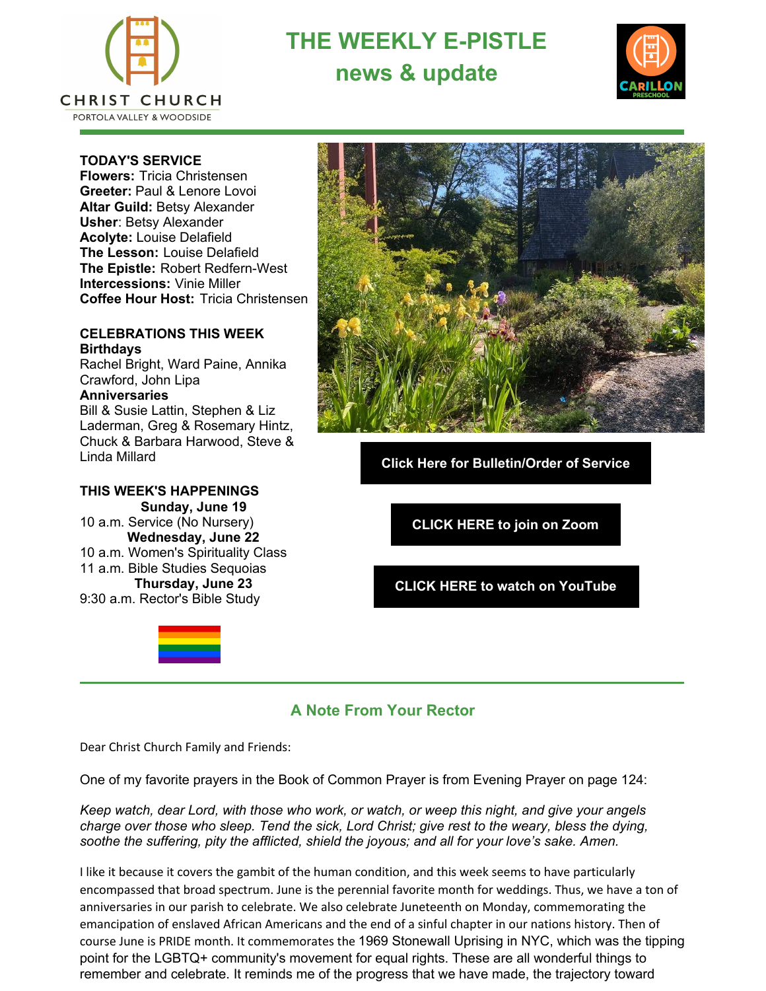

**THE WEEKLY E-PISTLE news & update**



#### **TODAY'S SERVICE**

**Flowers:** Tricia Christensen **Greeter:** Paul & Lenore Lovoi **Altar Guild:** Betsy Alexander **Usher**: Betsy Alexander **Acolyte:** Louise Delafield **The Lesson:** Louise Delafield **The Epistle:** Robert Redfern-West **Intercessions:** Vinie Miller **Coffee Hour Host:** Tricia Christensen

#### **CELEBRATIONS THIS WEEK Birthdays**

Rachel Bright, Ward Paine, Annika Crawford, John Lipa **Anniversaries**

Bill & Susie Lattin, Stephen & Liz Laderman, Greg & Rosemary Hintz, Chuck & Barbara Harwood, Steve & Linda Millard

### **THIS WEEK'S HAPPENINGS**

**Sunday, June 19** 10 a.m. Service (No Nursery) **Wednesday, June 22** 10 a.m. Women's Spirituality Class 11 a.m. Bible Studies Sequoias **Thursday, June 23** 9:30 a.m. Rector's Bible Study



**Click Here for [Bulletin/Order](https://files.constantcontact.com/470d105c001/390506cf-3771-4447-b181-09f5c517bbec.pdf) of Service**

**[CLICK](https://zoom.us/j/97649227080#success) HERE to join on Zoom**

**CLICK HERE to watch on [YouTube](https://www.youtube.com/channel/UCF_quTOyYEfPZSNPK-pslAQ/videos)**

## **A Note From Your Rector**

Dear Christ Church Family and Friends:

One of my favorite prayers in the Book of Common Prayer is from Evening Prayer on page 124:

*Keep watch, dear Lord, with those who work, or watch, or weep this night, and give your angels charge over those who sleep. Tend the sick, Lord Christ; give rest to the weary, bless the dying, soothe the suffering, pity the afflicted, shield the joyous; and all for your love's sake. Amen.*

I like it because it covers the gambit of the human condition, and this week seems to have particularly encompassed that broad spectrum. June is the perennial favorite month for weddings. Thus, we have a ton of anniversaries in our parish to celebrate. We also celebrate Juneteenth on Monday, commemorating the emancipation of enslaved African Americans and the end of a sinful chapter in our nations history. Then of course June is PRIDE month. It commemorates the 1969 Stonewall Uprising in NYC, which was the tipping point for the LGBTQ+ community's movement for equal rights. These are all wonderful things to remember and celebrate. It reminds me of the progress that we have made, the trajectory toward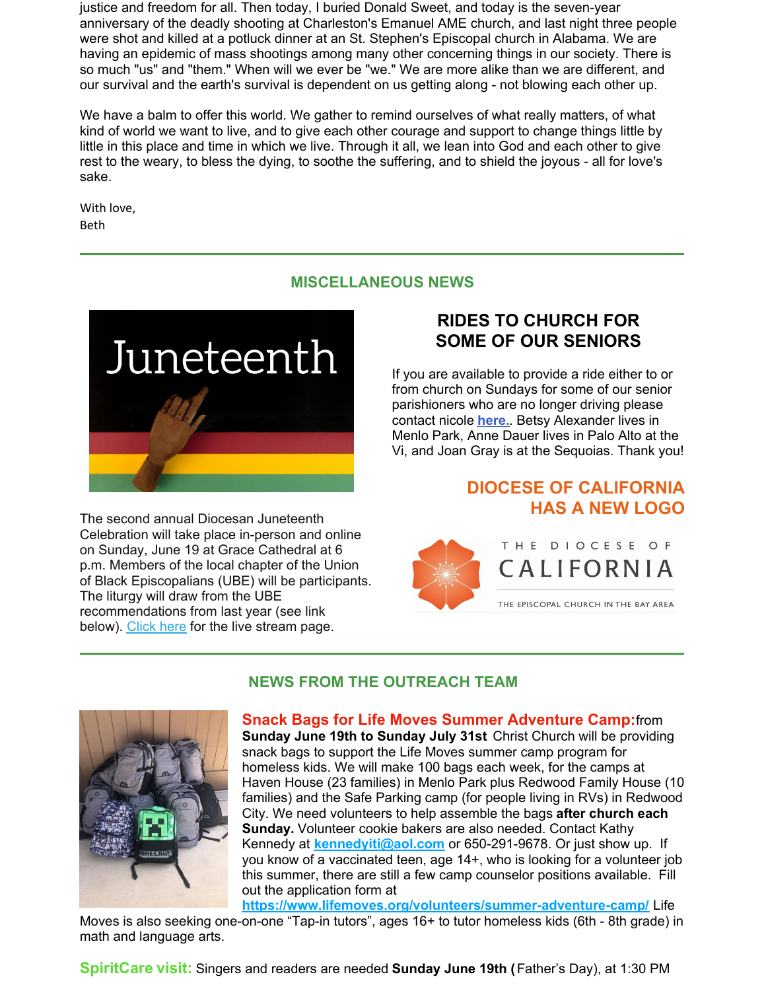justice and freedom for all. Then today, I buried Donald Sweet, and today is the seven-year anniversary of the deadly shooting at Charleston's Emanuel AME church, and last night three people were shot and killed at a potluck dinner at an St. Stephen's Episcopal church in Alabama. We are having an epidemic of mass shootings among many other concerning things in our society. There is so much "us" and "them." When will we ever be "we." We are more alike than we are different, and our survival and the earth's survival is dependent on us getting along - not blowing each other up.

We have a balm to offer this world. We gather to remind ourselves of what really matters, of what kind of world we want to live, and to give each other courage and support to change things little by little in this place and time in which we live. Through it all, we lean into God and each other to give rest to the weary, to bless the dying, to soothe the suffering, and to shield the joyous - all for love's sake.

With love, Beth

### **MISCELLANEOUS NEWS**



The second annual Diocesan Juneteenth Celebration will take place in-person and online on Sunday, June 19 at Grace Cathedral at 6 p.m. Members of the local chapter of the Union of Black Episcopalians (UBE) will be participants. The liturgy will draw from the UBE recommendations from last year (see link below). [Click](https://diocal.us13.list-manage.com/track/click?u=55a4c86d3e04b0a68eba23b20&id=d1e1493634&e=6b341bca94) here for the live stream page.

# **RIDES TO CHURCH FOR SOME OF OUR SENIORS**

If you are available to provide a ride either to or from church on Sundays for some of our senior parishioners who are no longer driving please contact nicole **[here.](mailto:admin@ccpvw.org)**. Betsy Alexander lives in Menlo Park, Anne Dauer lives in Palo Alto at the Vi, and Joan Gray is at the Sequoias. Thank you!

# **DIOCESE OF CALIFORNIA HAS A NEW LOGO**

![](_page_1_Picture_9.jpeg)

![](_page_1_Picture_10.jpeg)

## **NEWS FROM THE OUTREACH TEAM**

**Snack Bags for Life Moves Summer Adventure Camp:**from **Sunday June 19th to Sunday July 31st** Christ Church will be providing snack bags to support the Life Moves summer camp program for homeless kids. We will make 100 bags each week, for the camps at Haven House (23 families) in Menlo Park plus Redwood Family House (10 families) and the Safe Parking camp (for people living in RVs) in Redwood City. We need volunteers to help assemble the bags **after church each Sunday.** Volunteer cookie bakers are also needed. Contact Kathy Kennedy at **[kennedyiti@aol.com](mailto:kennedyiti@aol.com)** or 650-291-9678. Or just show up. If you know of a vaccinated teen, age 14+, who is looking for a volunteer job this summer, there are still a few camp counselor positions available. Fill out the application form at

**<https://www.lifemoves.org/volunteers/summer-adventure-camp/>** Life Moves is also seeking one-on-one "Tap-in tutors", ages 16+ to tutor homeless kids (6th - 8th grade) in math and language arts.

**SpiritCare visit:** Singers and readers are needed **Sunday June 19th (**Father's Day), at 1:30 PM